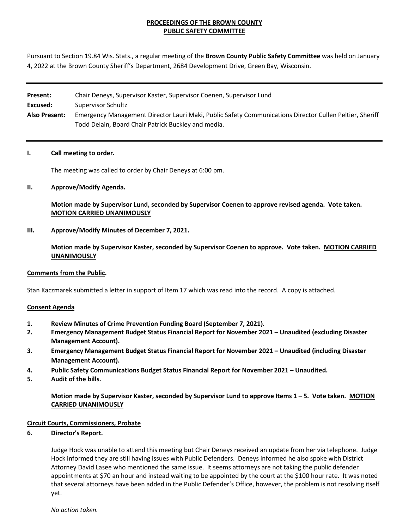# **PROCEEDINGS OF THE BROWN COUNTY PUBLIC SAFETY COMMITTEE**

Pursuant to Section 19.84 Wis. Stats., a regular meeting of the **Brown County Public Safety Committee** was held on January 4, 2022 at the Brown County Sheriff's Department, 2684 Development Drive, Green Bay, Wisconsin.

| Present:             | Chair Deneys, Supervisor Kaster, Supervisor Coenen, Supervisor Lund                                     |
|----------------------|---------------------------------------------------------------------------------------------------------|
| Excused:             | Supervisor Schultz                                                                                      |
| <b>Also Present:</b> | Emergency Management Director Lauri Maki, Public Safety Communications Director Cullen Peltier, Sheriff |
|                      | Todd Delain, Board Chair Patrick Buckley and media.                                                     |

#### **I. Call meeting to order.**

The meeting was called to order by Chair Deneys at 6:00 pm.

#### **II. Approve/Modify Agenda.**

**Motion made by Supervisor Lund, seconded by Supervisor Coenen to approve revised agenda. Vote taken. MOTION CARRIED UNANIMOUSLY**

**III. Approve/Modify Minutes of December 7, 2021.** 

**Motion made by Supervisor Kaster, seconded by Supervisor Coenen to approve. Vote taken. MOTION CARRIED UNANIMOUSLY**

#### **Comments from the Public.**

Stan Kaczmarek submitted a letter in support of Item 17 which was read into the record. A copy is attached.

#### **Consent Agenda**

- **1. Review Minutes of Crime Prevention Funding Board (September 7, 2021).**
- **2. Emergency Management Budget Status Financial Report for November 2021 Unaudited (excluding Disaster Management Account).**
- **3. Emergency Management Budget Status Financial Report for November 2021 Unaudited (including Disaster Management Account).**
- **4. Public Safety Communications Budget Status Financial Report for November 2021 Unaudited.**
- **5. Audit of the bills.**

**Motion made by Supervisor Kaster, seconded by Supervisor Lund to approve Items 1 – 5. Vote taken. MOTION CARRIED UNANIMOUSLY**

#### **Circuit Courts, Commissioners, Probate**

# **6. Director's Report.**

Judge Hock was unable to attend this meeting but Chair Deneys received an update from her via telephone. Judge Hock informed they are still having issues with Public Defenders. Deneys informed he also spoke with District Attorney David Lasee who mentioned the same issue. It seems attorneys are not taking the public defender appointments at \$70 an hour and instead waiting to be appointed by the court at the \$100 hour rate. It was noted that several attorneys have been added in the Public Defender's Office, however, the problem is not resolving itself yet.

*No action taken.*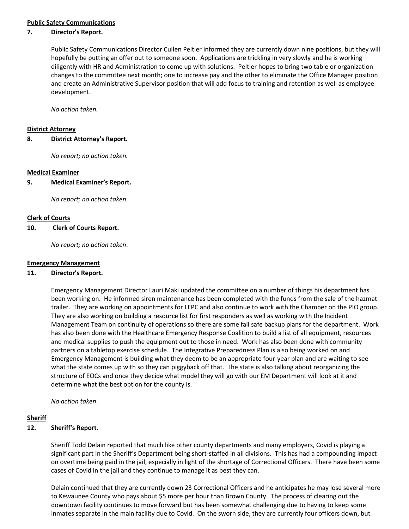# **Public Safety Communications**

# **7. Director's Report.**

Public Safety Communications Director Cullen Peltier informed they are currently down nine positions, but they will hopefully be putting an offer out to someone soon. Applications are trickling in very slowly and he is working diligently with HR and Administration to come up with solutions. Peltier hopes to bring two table or organization changes to the committee next month; one to increase pay and the other to eliminate the Office Manager position and create an Administrative Supervisor position that will add focus to training and retention as well as employee development.

*No action taken.*

#### **District Attorney**

**8. District Attorney's Report.** 

*No report; no action taken.*

#### **Medical Examiner**

**9. Medical Examiner's Report.**

*No report; no action taken.*

#### **Clerk of Courts**

**10. Clerk of Courts Report.**

*No report; no action taken*.

#### **Emergency Management**

#### **11. Director's Report.**

Emergency Management Director Lauri Maki updated the committee on a number of things his department has been working on. He informed siren maintenance has been completed with the funds from the sale of the hazmat trailer. They are working on appointments for LEPC and also continue to work with the Chamber on the PIO group. They are also working on building a resource list for first responders as well as working with the Incident Management Team on continuity of operations so there are some fail safe backup plans for the department. Work has also been done with the Healthcare Emergency Response Coalition to build a list of all equipment, resources and medical supplies to push the equipment out to those in need. Work has also been done with community partners on a tabletop exercise schedule. The Integrative Preparedness Plan is also being worked on and Emergency Management is building what they deem to be an appropriate four-year plan and are waiting to see what the state comes up with so they can piggyback off that. The state is also talking about reorganizing the structure of EOCs and once they decide what model they will go with our EM Department will look at it and determine what the best option for the county is.

*No action taken*.

### **Sheriff**

#### **12. Sheriff's Report.**

Sheriff Todd Delain reported that much like other county departments and many employers, Covid is playing a significant part in the Sheriff's Department being short-staffed in all divisions. This has had a compounding impact on overtime being paid in the jail, especially in light of the shortage of Correctional Officers. There have been some cases of Covid in the jail and they continue to manage it as best they can.

Delain continued that they are currently down 23 Correctional Officers and he anticipates he may lose several more to Kewaunee County who pays about \$5 more per hour than Brown County. The process of clearing out the downtown facility continues to move forward but has been somewhat challenging due to having to keep some inmates separate in the main facility due to Covid. On the sworn side, they are currently four officers down, but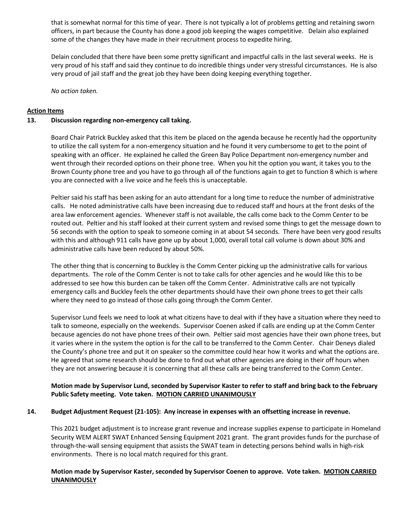that is somewhat normal for this time of year. There is not typically a lot of problems getting and retaining sworn officers, in part because the County has done a good job keeping the wages competitive. Delain also explained some of the changes they have made in their recruitment process to expedite hiring.

Delain concluded that there have been some pretty significant and impactful calls in the last several weeks. He is very proud of his staff and said they continue to do incredible things under very stressful circumstances. He is also very proud of jail staff and the great job they have been doing keeping everything together.

*No action taken.*

# **Action Items**

# **13. Discussion regarding non-emergency call taking.**

Board Chair Patrick Buckley asked that this item be placed on the agenda because he recently had the opportunity to utilize the call system for a non-emergency situation and he found it very cumbersome to get to the point of speaking with an officer. He explained he called the Green Bay Police Department non-emergency number and went through their recorded options on their phone tree. When you hit the option you want, it takes you to the Brown County phone tree and you have to go through all of the functions again to get to function 8 which is where you are connected with a live voice and he feels this is unacceptable.

Peltier said his staff has been asking for an auto attendant for a long time to reduce the number of administrative calls. He noted administrative calls have been increasing due to reduced staff and hours at the front desks of the area law enforcement agencies. Whenever staff is not available, the calls come back to the Comm Center to be routed out. Peltier and his staff looked at their current system and revised some things to get the message down to 56 seconds with the option to speak to someone coming in at about 54 seconds. There have been very good results with this and although 911 calls have gone up by about 1,000, overall total call volume is down about 30% and administrative calls have been reduced by about 50%.

The other thing that is concerning to Buckley is the Comm Center picking up the administrative calls for various departments. The role of the Comm Center is not to take calls for other agencies and he would like this to be addressed to see how this burden can be taken off the Comm Center. Administrative calls are not typically emergency calls and Buckley feels the other departments should have their own phone trees to get their calls where they need to go instead of those calls going through the Comm Center.

Supervisor Lund feels we need to look at what citizens have to deal with if they have a situation where they need to talk to someone, especially on the weekends. Supervisor Coenen asked if calls are ending up at the Comm Center because agencies do not have phone trees of their own. Peltier said most agencies have their own phone trees, but it varies where in the system the option is for the call to be transferred to the Comm Center. Chair Deneys dialed the County's phone tree and put it on speaker so the committee could hear how it works and what the options are. He agreed that some research should be done to find out what other agencies are doing in their off hours when they are not answering because it is concerning that all these calls are being transferred to the Comm Center.

# **Motion made by Supervisor Lund, seconded by Supervisor Kaster to refer to staff and bring back to the February Public Safety meeting. Vote taken. MOTION CARRIED UNANIMOUSLY**

### **14. Budget Adjustment Request (21-105): Any increase in expenses with an offsetting increase in revenue.**

This 2021 budget adjustment is to increase grant revenue and increase supplies expense to participate in Homeland Security WEM ALERT SWAT Enhanced Sensing Equipment 2021 grant. The grant provides funds for the purchase of through-the-wall sensing equipment that assists the SWAT team in detecting persons behind walls in high-risk environments. There is no local match required for this grant.

# **Motion made by Supervisor Kaster, seconded by Supervisor Coenen to approve. Vote taken. MOTION CARRIED UNANIMOUSLY**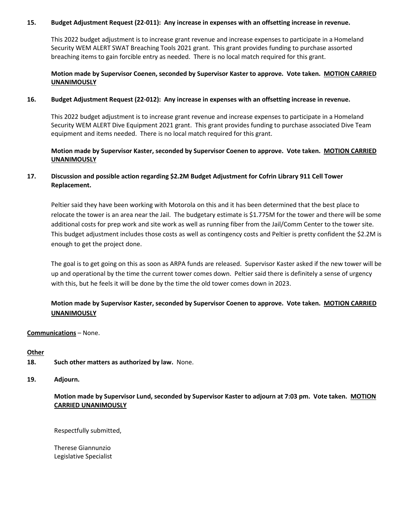### **15. Budget Adjustment Request (22-011): Any increase in expenses with an offsetting increase in revenue.**

This 2022 budget adjustment is to increase grant revenue and increase expenses to participate in a Homeland Security WEM ALERT SWAT Breaching Tools 2021 grant. This grant provides funding to purchase assorted breaching items to gain forcible entry as needed. There is no local match required for this grant.

# **Motion made by Supervisor Coenen, seconded by Supervisor Kaster to approve. Vote taken. MOTION CARRIED UNANIMOUSLY**

### **16. Budget Adjustment Request (22-012): Any increase in expenses with an offsetting increase in revenue.**

This 2022 budget adjustment is to increase grant revenue and increase expenses to participate in a Homeland Security WEM ALERT Dive Equipment 2021 grant. This grant provides funding to purchase associated Dive Team equipment and items needed. There is no local match required for this grant.

# **Motion made by Supervisor Kaster, seconded by Supervisor Coenen to approve. Vote taken. MOTION CARRIED UNANIMOUSLY**

# **17. Discussion and possible action regarding \$2.2M Budget Adjustment for Cofrin Library 911 Cell Tower Replacement.**

Peltier said they have been working with Motorola on this and it has been determined that the best place to relocate the tower is an area near the Jail. The budgetary estimate is \$1.775M for the tower and there will be some additional costs for prep work and site work as well as running fiber from the Jail/Comm Center to the tower site. This budget adjustment includes those costs as well as contingency costs and Peltier is pretty confident the \$2.2M is enough to get the project done.

The goal is to get going on this as soon as ARPA funds are released. Supervisor Kaster asked if the new tower will be up and operational by the time the current tower comes down. Peltier said there is definitely a sense of urgency with this, but he feels it will be done by the time the old tower comes down in 2023.

# **Motion made by Supervisor Kaster, seconded by Supervisor Coenen to approve. Vote taken. MOTION CARRIED UNANIMOUSLY**

**Communications** – None.

# **Other**

- **18. Such other matters as authorized by law.** None.
- **19. Adjourn.**

**Motion made by Supervisor Lund, seconded by Supervisor Kaster to adjourn at 7:03 pm. Vote taken. MOTION CARRIED UNANIMOUSLY**

Respectfully submitted,

Therese Giannunzio Legislative Specialist